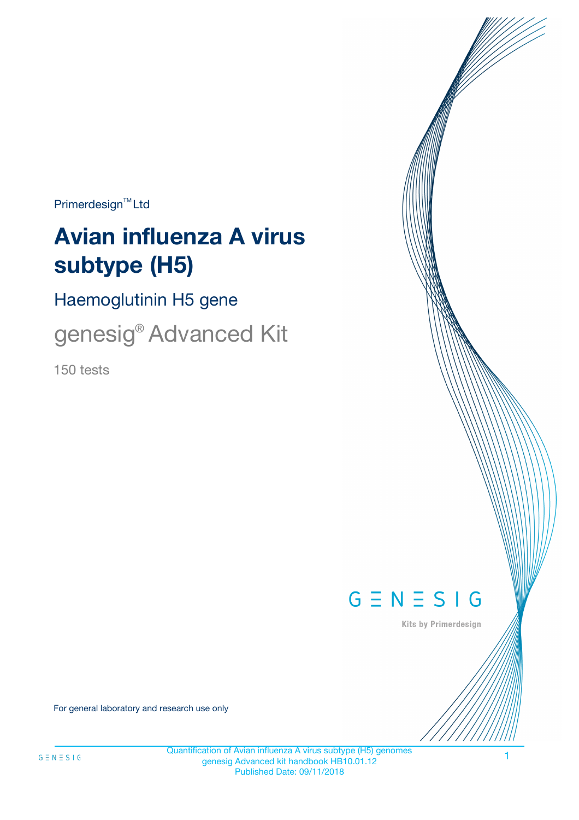$Primerdesign^{\text{TM}}Ltd$ 

# **Avian influenza A virus subtype (H5)**

Haemoglutinin H5 gene

genesig® Advanced Kit

150 tests



Kits by Primerdesign

For general laboratory and research use only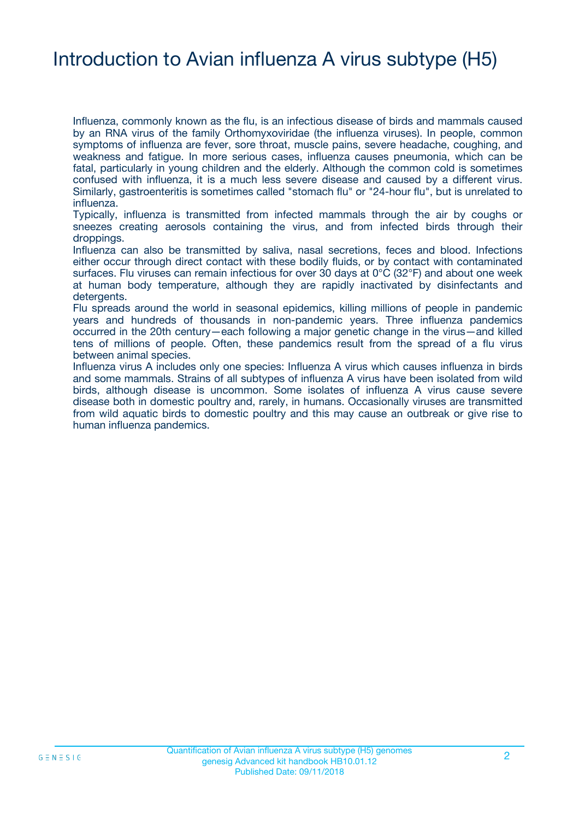### Introduction to Avian influenza A virus subtype (H5)

Influenza, commonly known as the flu, is an infectious disease of birds and mammals caused by an RNA virus of the family Orthomyxoviridae (the influenza viruses). In people, common symptoms of influenza are fever, sore throat, muscle pains, severe headache, coughing, and weakness and fatigue. In more serious cases, influenza causes pneumonia, which can be fatal, particularly in young children and the elderly. Although the common cold is sometimes confused with influenza, it is a much less severe disease and caused by a different virus. Similarly, gastroenteritis is sometimes called "stomach flu" or "24-hour flu", but is unrelated to influenza.

Typically, influenza is transmitted from infected mammals through the air by coughs or sneezes creating aerosols containing the virus, and from infected birds through their droppings.

Influenza can also be transmitted by saliva, nasal secretions, feces and blood. Infections either occur through direct contact with these bodily fluids, or by contact with contaminated surfaces. Flu viruses can remain infectious for over 30 days at 0°C (32°F) and about one week at human body temperature, although they are rapidly inactivated by disinfectants and detergents.

Flu spreads around the world in seasonal epidemics, killing millions of people in pandemic years and hundreds of thousands in non-pandemic years. Three influenza pandemics occurred in the 20th century—each following a major genetic change in the virus—and killed tens of millions of people. Often, these pandemics result from the spread of a flu virus between animal species.

Influenza virus A includes only one species: Influenza A virus which causes influenza in birds and some mammals. Strains of all subtypes of influenza A virus have been isolated from wild birds, although disease is uncommon. Some isolates of influenza A virus cause severe disease both in domestic poultry and, rarely, in humans. Occasionally viruses are transmitted from wild aquatic birds to domestic poultry and this may cause an outbreak or give rise to human influenza pandemics.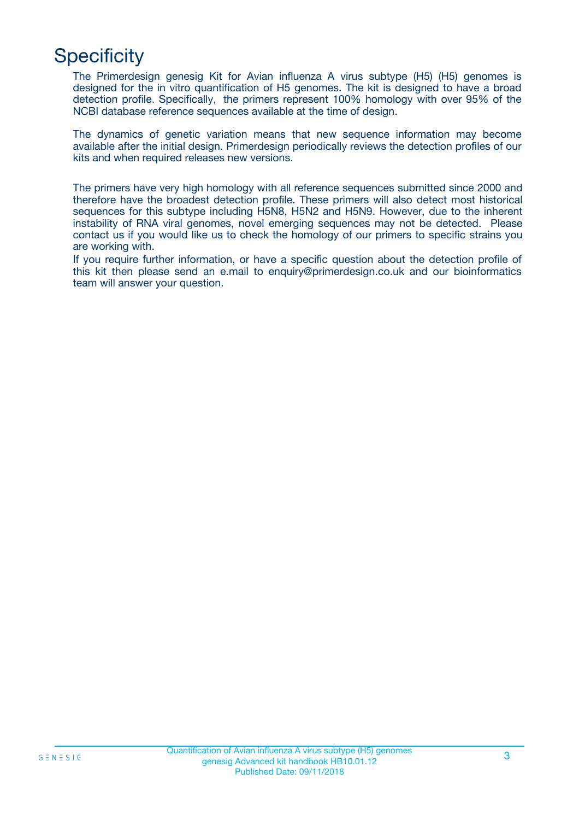# **Specificity**

The Primerdesign genesig Kit for Avian influenza A virus subtype (H5) (H5) genomes is designed for the in vitro quantification of H5 genomes. The kit is designed to have a broad detection profile. Specifically, the primers represent 100% homology with over 95% of the NCBI database reference sequences available at the time of design.

The dynamics of genetic variation means that new sequence information may become available after the initial design. Primerdesign periodically reviews the detection profiles of our kits and when required releases new versions.

The primers have very high homology with all reference sequences submitted since 2000 and therefore have the broadest detection profile. These primers will also detect most historical sequences for this subtype including H5N8, H5N2 and H5N9. However, due to the inherent instability of RNA viral genomes, novel emerging sequences may not be detected. Please contact us if you would like us to check the homology of our primers to specific strains you are working with.

If you require further information, or have a specific question about the detection profile of this kit then please send an e.mail to enquiry@primerdesign.co.uk and our bioinformatics team will answer your question.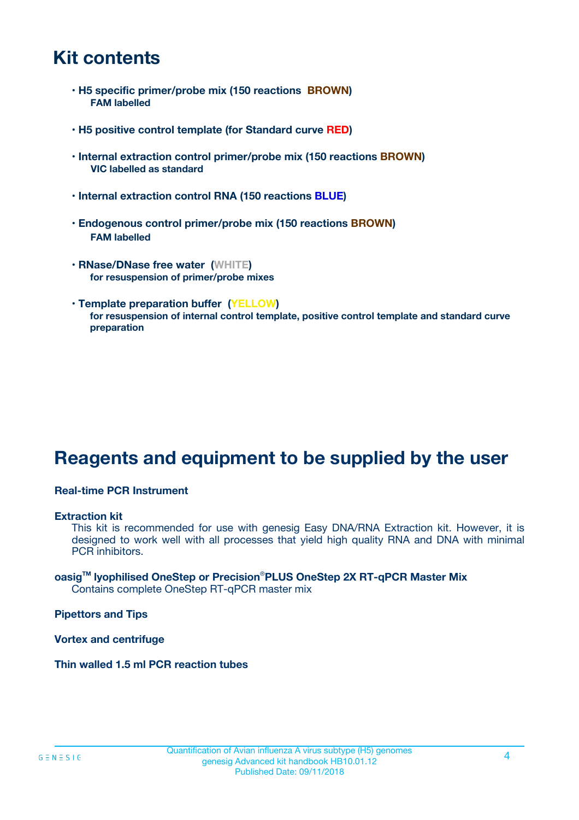### **Kit contents**

- **H5 specific primer/probe mix (150 reactions BROWN) FAM labelled**
- **H5 positive control template (for Standard curve RED)**
- **Internal extraction control primer/probe mix (150 reactions BROWN) VIC labelled as standard**
- **Internal extraction control RNA (150 reactions BLUE)**
- **Endogenous control primer/probe mix (150 reactions BROWN) FAM labelled**
- **RNase/DNase free water (WHITE) for resuspension of primer/probe mixes**
- **Template preparation buffer (YELLOW) for resuspension of internal control template, positive control template and standard curve preparation**

### **Reagents and equipment to be supplied by the user**

#### **Real-time PCR Instrument**

#### **Extraction kit**

This kit is recommended for use with genesig Easy DNA/RNA Extraction kit. However, it is designed to work well with all processes that yield high quality RNA and DNA with minimal PCR inhibitors.

#### **oasigTM lyophilised OneStep or Precision**®**PLUS OneStep 2X RT-qPCR Master Mix** Contains complete OneStep RT-qPCR master mix

**Pipettors and Tips**

**Vortex and centrifuge**

**Thin walled 1.5 ml PCR reaction tubes**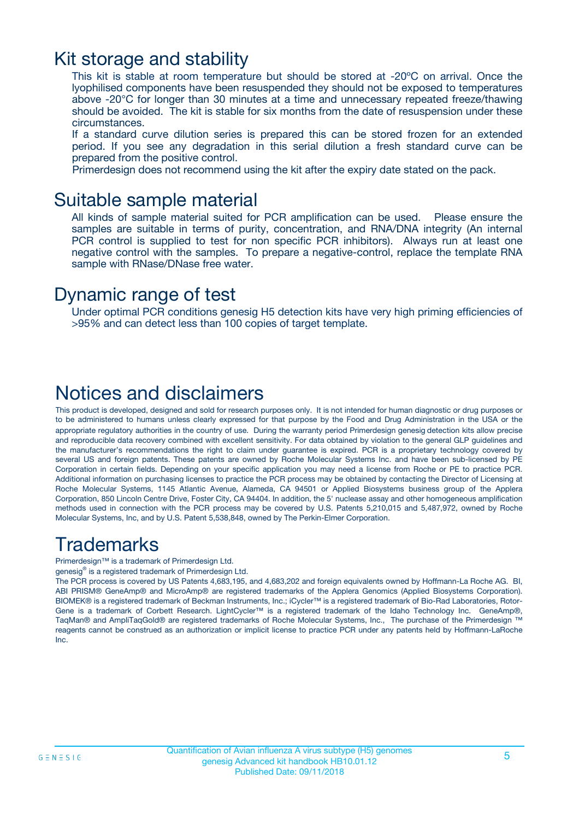### Kit storage and stability

This kit is stable at room temperature but should be stored at -20ºC on arrival. Once the lyophilised components have been resuspended they should not be exposed to temperatures above -20°C for longer than 30 minutes at a time and unnecessary repeated freeze/thawing should be avoided. The kit is stable for six months from the date of resuspension under these circumstances.

If a standard curve dilution series is prepared this can be stored frozen for an extended period. If you see any degradation in this serial dilution a fresh standard curve can be prepared from the positive control.

Primerdesign does not recommend using the kit after the expiry date stated on the pack.

### Suitable sample material

All kinds of sample material suited for PCR amplification can be used. Please ensure the samples are suitable in terms of purity, concentration, and RNA/DNA integrity (An internal PCR control is supplied to test for non specific PCR inhibitors). Always run at least one negative control with the samples. To prepare a negative-control, replace the template RNA sample with RNase/DNase free water.

### Dynamic range of test

Under optimal PCR conditions genesig H5 detection kits have very high priming efficiencies of >95% and can detect less than 100 copies of target template.

### Notices and disclaimers

This product is developed, designed and sold for research purposes only. It is not intended for human diagnostic or drug purposes or to be administered to humans unless clearly expressed for that purpose by the Food and Drug Administration in the USA or the appropriate regulatory authorities in the country of use. During the warranty period Primerdesign genesig detection kits allow precise and reproducible data recovery combined with excellent sensitivity. For data obtained by violation to the general GLP guidelines and the manufacturer's recommendations the right to claim under guarantee is expired. PCR is a proprietary technology covered by several US and foreign patents. These patents are owned by Roche Molecular Systems Inc. and have been sub-licensed by PE Corporation in certain fields. Depending on your specific application you may need a license from Roche or PE to practice PCR. Additional information on purchasing licenses to practice the PCR process may be obtained by contacting the Director of Licensing at Roche Molecular Systems, 1145 Atlantic Avenue, Alameda, CA 94501 or Applied Biosystems business group of the Applera Corporation, 850 Lincoln Centre Drive, Foster City, CA 94404. In addition, the 5' nuclease assay and other homogeneous amplification methods used in connection with the PCR process may be covered by U.S. Patents 5,210,015 and 5,487,972, owned by Roche Molecular Systems, Inc, and by U.S. Patent 5,538,848, owned by The Perkin-Elmer Corporation.

### Trademarks

Primerdesign™ is a trademark of Primerdesign Ltd.

genesig® is a registered trademark of Primerdesign Ltd.

The PCR process is covered by US Patents 4,683,195, and 4,683,202 and foreign equivalents owned by Hoffmann-La Roche AG. BI, ABI PRISM® GeneAmp® and MicroAmp® are registered trademarks of the Applera Genomics (Applied Biosystems Corporation). BIOMEK® is a registered trademark of Beckman Instruments, Inc.; iCycler™ is a registered trademark of Bio-Rad Laboratories, Rotor-Gene is a trademark of Corbett Research. LightCycler™ is a registered trademark of the Idaho Technology Inc. GeneAmp®, TaqMan® and AmpliTaqGold® are registered trademarks of Roche Molecular Systems, Inc., The purchase of the Primerdesign ™ reagents cannot be construed as an authorization or implicit license to practice PCR under any patents held by Hoffmann-LaRoche Inc.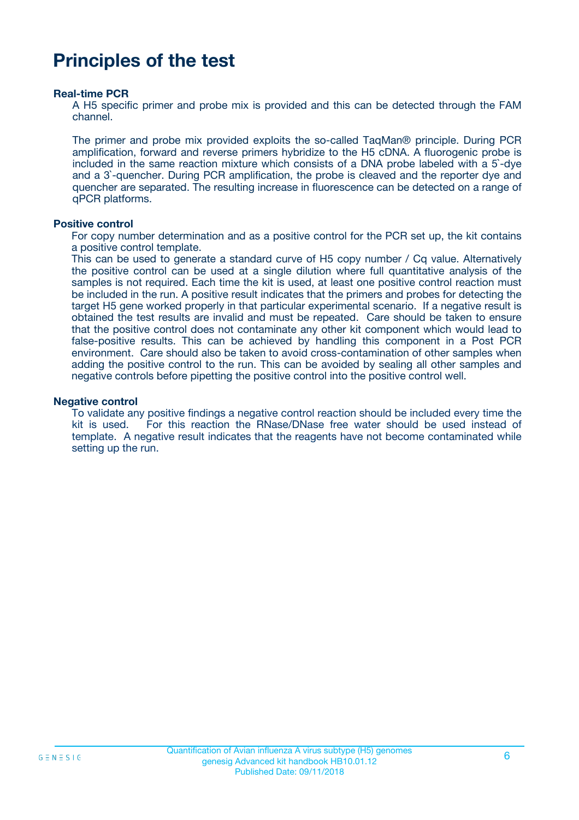### **Principles of the test**

#### **Real-time PCR**

A H5 specific primer and probe mix is provided and this can be detected through the FAM channel.

The primer and probe mix provided exploits the so-called TaqMan® principle. During PCR amplification, forward and reverse primers hybridize to the H5 cDNA. A fluorogenic probe is included in the same reaction mixture which consists of a DNA probe labeled with a 5`-dye and a 3`-quencher. During PCR amplification, the probe is cleaved and the reporter dye and quencher are separated. The resulting increase in fluorescence can be detected on a range of qPCR platforms.

#### **Positive control**

For copy number determination and as a positive control for the PCR set up, the kit contains a positive control template.

This can be used to generate a standard curve of H5 copy number / Cq value. Alternatively the positive control can be used at a single dilution where full quantitative analysis of the samples is not required. Each time the kit is used, at least one positive control reaction must be included in the run. A positive result indicates that the primers and probes for detecting the target H5 gene worked properly in that particular experimental scenario. If a negative result is obtained the test results are invalid and must be repeated. Care should be taken to ensure that the positive control does not contaminate any other kit component which would lead to false-positive results. This can be achieved by handling this component in a Post PCR environment. Care should also be taken to avoid cross-contamination of other samples when adding the positive control to the run. This can be avoided by sealing all other samples and negative controls before pipetting the positive control into the positive control well.

#### **Negative control**

To validate any positive findings a negative control reaction should be included every time the kit is used. For this reaction the RNase/DNase free water should be used instead of template. A negative result indicates that the reagents have not become contaminated while setting up the run.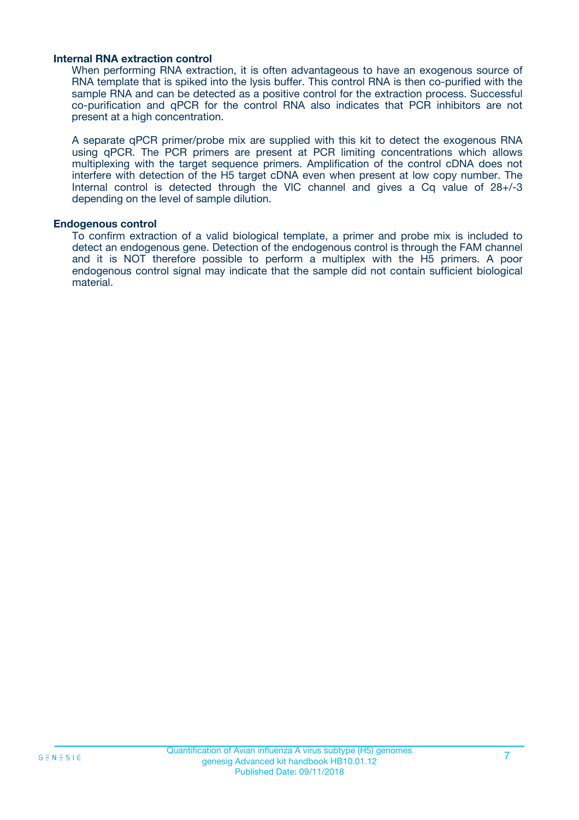#### **Internal RNA extraction control**

When performing RNA extraction, it is often advantageous to have an exogenous source of RNA template that is spiked into the lysis buffer. This control RNA is then co-purified with the sample RNA and can be detected as a positive control for the extraction process. Successful co-purification and qPCR for the control RNA also indicates that PCR inhibitors are not present at a high concentration.

A separate qPCR primer/probe mix are supplied with this kit to detect the exogenous RNA using qPCR. The PCR primers are present at PCR limiting concentrations which allows multiplexing with the target sequence primers. Amplification of the control cDNA does not interfere with detection of the H5 target cDNA even when present at low copy number. The Internal control is detected through the VIC channel and gives a Cq value of 28+/-3 depending on the level of sample dilution.

#### **Endogenous control**

To confirm extraction of a valid biological template, a primer and probe mix is included to detect an endogenous gene. Detection of the endogenous control is through the FAM channel and it is NOT therefore possible to perform a multiplex with the H5 primers. A poor endogenous control signal may indicate that the sample did not contain sufficient biological material.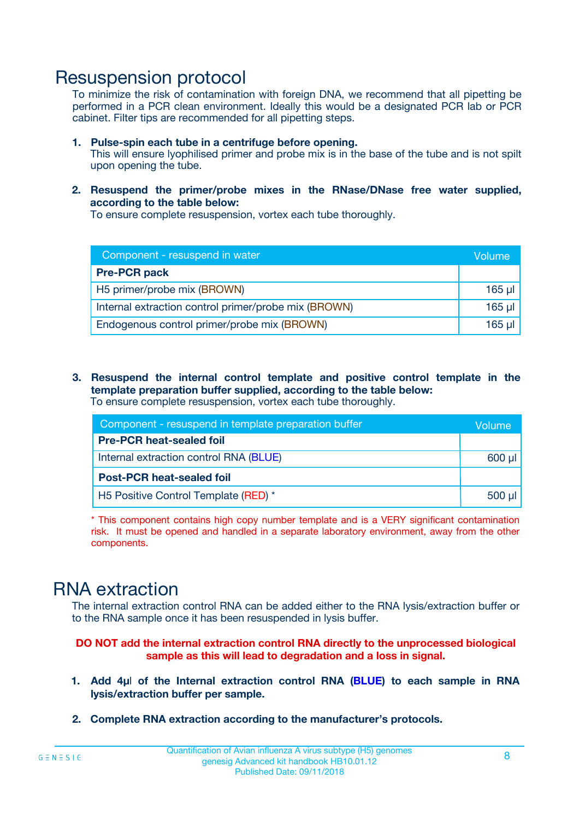### Resuspension protocol

To minimize the risk of contamination with foreign DNA, we recommend that all pipetting be performed in a PCR clean environment. Ideally this would be a designated PCR lab or PCR cabinet. Filter tips are recommended for all pipetting steps.

- **1. Pulse-spin each tube in a centrifuge before opening.** This will ensure lyophilised primer and probe mix is in the base of the tube and is not spilt upon opening the tube.
- **2. Resuspend the primer/probe mixes in the RNase/DNase free water supplied, according to the table below:**

To ensure complete resuspension, vortex each tube thoroughly.

| Component - resuspend in water                       |          |  |
|------------------------------------------------------|----------|--|
| <b>Pre-PCR pack</b>                                  |          |  |
| H5 primer/probe mix (BROWN)                          | $165$ µl |  |
| Internal extraction control primer/probe mix (BROWN) | $165$ µl |  |
| Endogenous control primer/probe mix (BROWN)          | 165 µl   |  |

**3. Resuspend the internal control template and positive control template in the template preparation buffer supplied, according to the table below:** To ensure complete resuspension, vortex each tube thoroughly.

| Component - resuspend in template preparation buffer |          |  |  |
|------------------------------------------------------|----------|--|--|
| <b>Pre-PCR heat-sealed foil</b>                      |          |  |  |
| Internal extraction control RNA (BLUE)               |          |  |  |
| <b>Post-PCR heat-sealed foil</b>                     |          |  |  |
| H5 Positive Control Template (RED) *                 | $500$ µl |  |  |

\* This component contains high copy number template and is a VERY significant contamination risk. It must be opened and handled in a separate laboratory environment, away from the other components.

### RNA extraction

The internal extraction control RNA can be added either to the RNA lysis/extraction buffer or to the RNA sample once it has been resuspended in lysis buffer.

#### **DO NOT add the internal extraction control RNA directly to the unprocessed biological sample as this will lead to degradation and a loss in signal.**

- **1. Add 4µ**l **of the Internal extraction control RNA (BLUE) to each sample in RNA lysis/extraction buffer per sample.**
- **2. Complete RNA extraction according to the manufacturer's protocols.**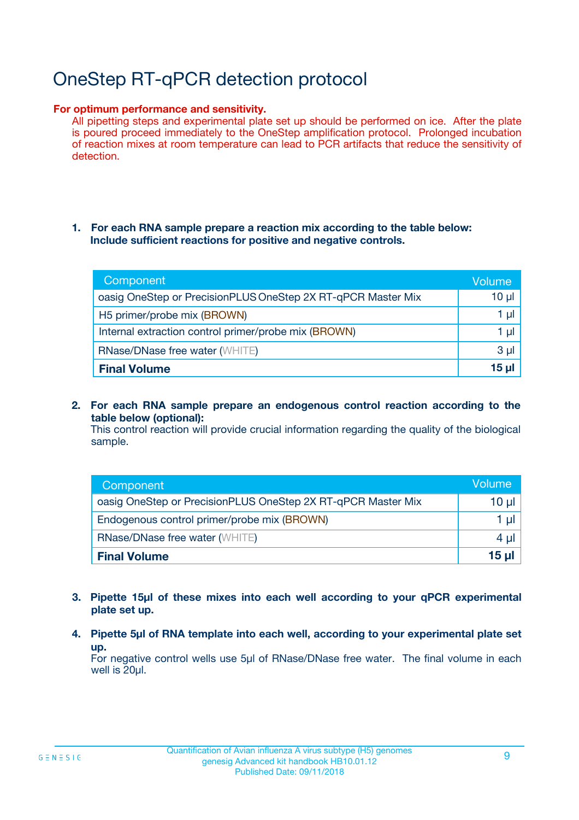# OneStep RT-qPCR detection protocol

#### **For optimum performance and sensitivity.**

All pipetting steps and experimental plate set up should be performed on ice. After the plate is poured proceed immediately to the OneStep amplification protocol. Prolonged incubation of reaction mixes at room temperature can lead to PCR artifacts that reduce the sensitivity of detection.

#### **1. For each RNA sample prepare a reaction mix according to the table below: Include sufficient reactions for positive and negative controls.**

| Component                                                    | <b>Volume</b> |
|--------------------------------------------------------------|---------------|
| oasig OneStep or PrecisionPLUS OneStep 2X RT-qPCR Master Mix | $10 \mu$      |
| H5 primer/probe mix (BROWN)                                  | 1 µI          |
| Internal extraction control primer/probe mix (BROWN)         | 1 µI          |
| RNase/DNase free water (WHITE)                               | $3 \mu$       |
| <b>Final Volume</b>                                          | 15 µl         |

**2. For each RNA sample prepare an endogenous control reaction according to the table below (optional):**

This control reaction will provide crucial information regarding the quality of the biological sample.

| Component                                                    | Volume   |
|--------------------------------------------------------------|----------|
| oasig OneStep or PrecisionPLUS OneStep 2X RT-qPCR Master Mix | 10 $\mu$ |
| Endogenous control primer/probe mix (BROWN)                  | 1 ul     |
| <b>RNase/DNase free water (WHITE)</b>                        | $4 \mu$  |
| <b>Final Volume</b>                                          | 15 µl    |

- **3. Pipette 15µl of these mixes into each well according to your qPCR experimental plate set up.**
- **4. Pipette 5µl of RNA template into each well, according to your experimental plate set up.**

For negative control wells use 5µl of RNase/DNase free water. The final volume in each well is 20µl.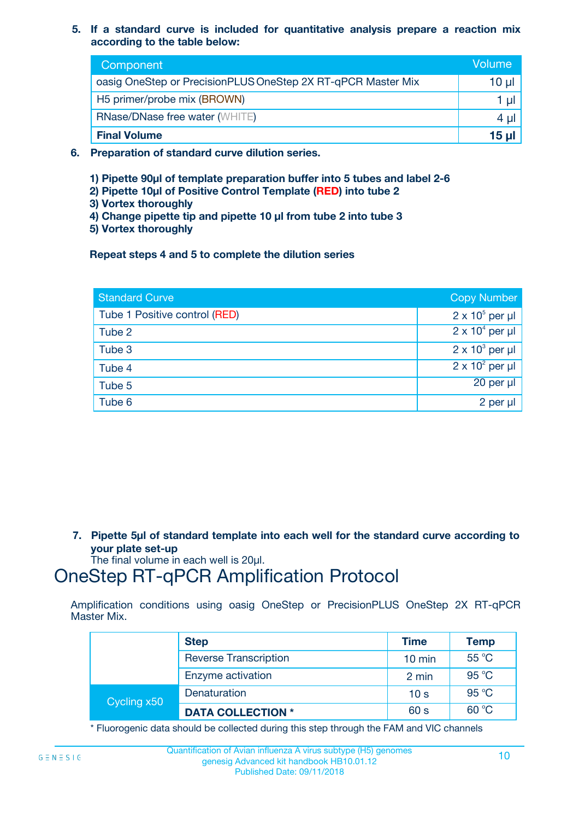**5. If a standard curve is included for quantitative analysis prepare a reaction mix according to the table below:**

| Component                                                    | Volume       |
|--------------------------------------------------------------|--------------|
| oasig OneStep or PrecisionPLUS OneStep 2X RT-qPCR Master Mix | 10 µl        |
| H5 primer/probe mix (BROWN)                                  | 1 µI         |
| <b>RNase/DNase free water (WHITE)</b>                        | 4 µl         |
| <b>Final Volume</b>                                          | <u>15 µl</u> |

- **6. Preparation of standard curve dilution series.**
	- **1) Pipette 90µl of template preparation buffer into 5 tubes and label 2-6**
	- **2) Pipette 10µl of Positive Control Template (RED) into tube 2**
	- **3) Vortex thoroughly**
	- **4) Change pipette tip and pipette 10 µl from tube 2 into tube 3**
	- **5) Vortex thoroughly**

**Repeat steps 4 and 5 to complete the dilution series**

| <b>Standard Curve</b>         | <b>Copy Number</b>     |
|-------------------------------|------------------------|
| Tube 1 Positive control (RED) | $2 \times 10^5$ per µl |
| Tube 2                        | $2 \times 10^4$ per µl |
| Tube 3                        | $2 \times 10^3$ per µl |
| Tube 4                        | $2 \times 10^2$ per µl |
| Tube 5                        | 20 per µl              |
| Tube 6                        | $2$ per $\mu$          |

**7. Pipette 5µl of standard template into each well for the standard curve according to your plate set-up**

The final volume in each well is 20µl.

### OneStep RT-qPCR Amplification Protocol

Amplification conditions using oasig OneStep or PrecisionPLUS OneStep 2X RT-qPCR Master Mix.

|             | <b>Step</b>                  | <b>Time</b>      | <b>Temp</b> |
|-------------|------------------------------|------------------|-------------|
|             | <b>Reverse Transcription</b> | $10 \text{ min}$ | 55 °C       |
|             | Enzyme activation            | 2 min            | 95 °C       |
| Cycling x50 | Denaturation                 | 10 <sub>s</sub>  | 95 °C       |
|             | <b>DATA COLLECTION *</b>     | 60 s             | 60 °C       |

\* Fluorogenic data should be collected during this step through the FAM and VIC channels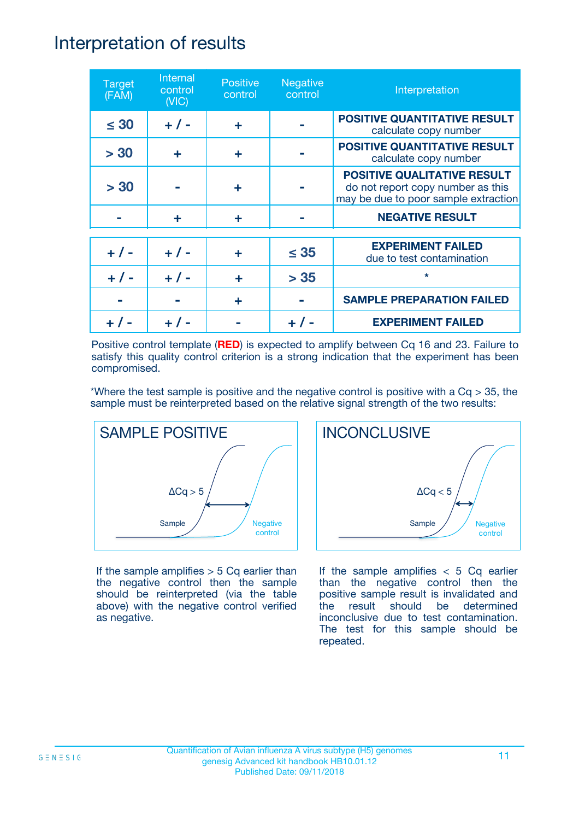### Interpretation of results

| <b>Target</b><br>(FAM) | Internal<br>control<br>(NIC) | <b>Positive</b><br>control | <b>Negative</b><br>control | Interpretation                                                                                                  |
|------------------------|------------------------------|----------------------------|----------------------------|-----------------------------------------------------------------------------------------------------------------|
| $\leq 30$              | $+ 1 -$                      | ÷                          |                            | <b>POSITIVE QUANTITATIVE RESULT</b><br>calculate copy number                                                    |
| > 30                   | ÷                            | ÷                          |                            | <b>POSITIVE QUANTITATIVE RESULT</b><br>calculate copy number                                                    |
| > 30                   |                              | ÷                          |                            | <b>POSITIVE QUALITATIVE RESULT</b><br>do not report copy number as this<br>may be due to poor sample extraction |
|                        | ÷                            | ÷                          |                            | <b>NEGATIVE RESULT</b>                                                                                          |
| $+ 1 -$                | $+ 1 -$                      | ÷                          | $\leq$ 35                  | <b>EXPERIMENT FAILED</b><br>due to test contamination                                                           |
| $+ 1 -$                | $+ 1 -$                      | ÷                          | > 35                       | $\star$                                                                                                         |
|                        |                              | ÷                          |                            | <b>SAMPLE PREPARATION FAILED</b>                                                                                |
|                        |                              |                            |                            | <b>EXPERIMENT FAILED</b>                                                                                        |

Positive control template (**RED**) is expected to amplify between Cq 16 and 23. Failure to satisfy this quality control criterion is a strong indication that the experiment has been compromised.

\*Where the test sample is positive and the negative control is positive with a  $Cq > 35$ , the sample must be reinterpreted based on the relative signal strength of the two results:



If the sample amplifies  $> 5$  Cq earlier than the negative control then the sample should be reinterpreted (via the table above) with the negative control verified as negative.



If the sample amplifies  $< 5$  Cq earlier than the negative control then the positive sample result is invalidated and the result should be determined inconclusive due to test contamination. The test for this sample should be repeated.